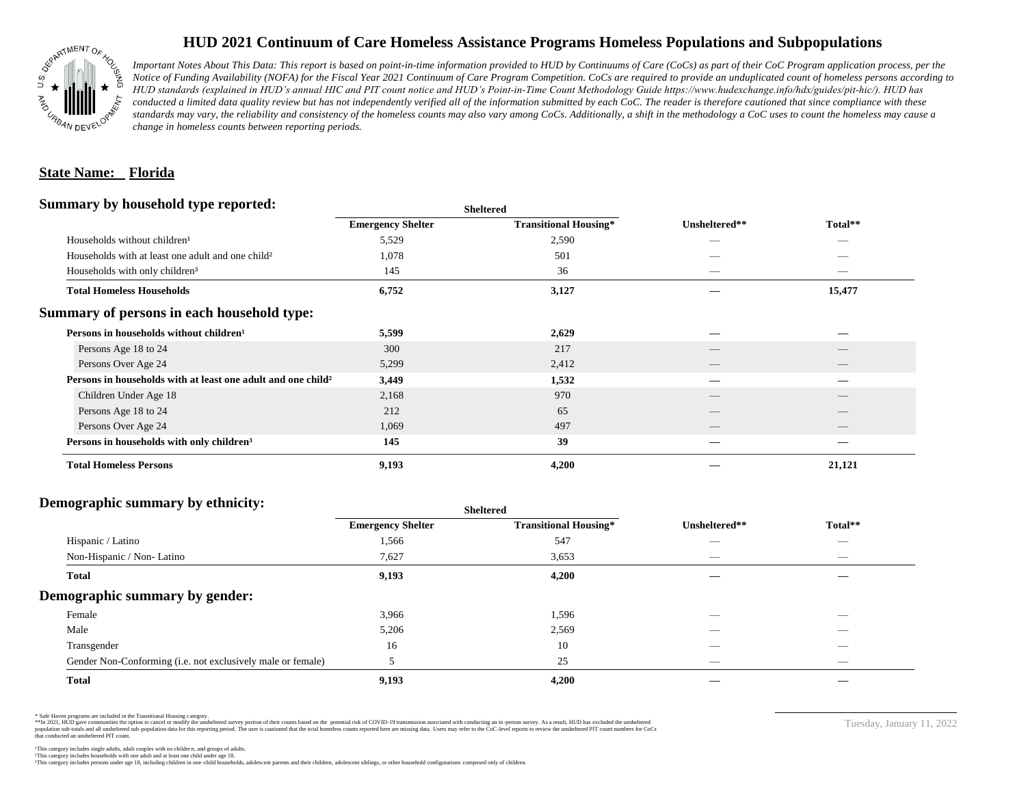

## **HUD 2021 Continuum of Care Homeless Assistance Programs Homeless Populations and Subpopulations**

*Important Notes About This Data: This report is based on point-in-time information provided to HUD by Continuums of Care (CoCs) as part of their CoC Program application process, per the Notice of Funding Availability (NOFA) for the Fiscal Year 2021 Continuum of Care Program Competition. CoCs are required to provide an unduplicated count of homeless persons according to HUD standards (explained in HUD's annual HIC and PIT count notice and HUD's Point-in-Time Count Methodology Guide https://www.hudexchange.info/hdx/guides/pit-hic/). HUD has*  conducted a limited data quality review but has not independently verified all of the information submitted by each CoC. The reader is therefore cautioned that since compliance with these standards may vary, the reliability and consistency of the homeless counts may also vary among CoCs. Additionally, a shift in the methodology a CoC uses to count the homeless may cause a *change in homeless counts between reporting periods.*

#### **State Name: Florida**

#### **Summary by household type reported:**

|                                                                          | patter                   |                              |                          |                                 |  |
|--------------------------------------------------------------------------|--------------------------|------------------------------|--------------------------|---------------------------------|--|
|                                                                          | <b>Emergency Shelter</b> | <b>Transitional Housing*</b> | Unsheltered**            | Total**                         |  |
| Households without children <sup>1</sup>                                 | 5,529                    | 2,590                        | -                        |                                 |  |
| Households with at least one adult and one child <sup>2</sup>            | 1,078                    | 501                          |                          |                                 |  |
| Households with only children <sup>3</sup>                               | 145                      | 36                           |                          |                                 |  |
| <b>Total Homeless Households</b>                                         | 6,752                    | 3,127                        |                          | 15,477                          |  |
| Summary of persons in each household type:                               |                          |                              |                          |                                 |  |
| Persons in households without children <sup>1</sup>                      | 5,599                    | 2,629                        |                          |                                 |  |
| Persons Age 18 to 24                                                     | 300                      | 217                          | $\overline{\phantom{a}}$ |                                 |  |
| Persons Over Age 24                                                      | 5,299                    | 2,412                        | $\overline{\phantom{a}}$ | $\hspace{0.1mm}-\hspace{0.1mm}$ |  |
| Persons in households with at least one adult and one child <sup>2</sup> | 3,449                    | 1,532                        |                          | _                               |  |
| Children Under Age 18                                                    | 2,168                    | 970                          | $\overline{\phantom{a}}$ | $\overline{\phantom{a}}$        |  |
| Persons Age 18 to 24                                                     | 212                      | 65                           | __                       |                                 |  |
| Persons Over Age 24                                                      | 1,069                    | 497                          |                          |                                 |  |
| Persons in households with only children <sup>3</sup>                    | 145                      | 39                           |                          |                                 |  |
| <b>Total Homeless Persons</b>                                            | 9,193                    | 4,200                        |                          | 21,121                          |  |
|                                                                          |                          |                              |                          |                                 |  |

**Sheltered**

### **Demographic summary by ethnicity:**

|                                                             | <b>Sheltered</b>         |                              |                          |                                |  |
|-------------------------------------------------------------|--------------------------|------------------------------|--------------------------|--------------------------------|--|
|                                                             | <b>Emergency Shelter</b> | <b>Transitional Housing*</b> | Unsheltered**            | Total**                        |  |
| Hispanic / Latino                                           | 1,566                    | 547                          | __                       | $\overline{\phantom{a}}$       |  |
| Non-Hispanic / Non-Latino                                   | 7,627                    | 3,653                        |                          | $\overbrace{\hspace{25mm}}^{}$ |  |
| <b>Total</b>                                                | 9,193                    | 4,200                        |                          |                                |  |
| Demographic summary by gender:                              |                          |                              |                          |                                |  |
| Female                                                      | 3,966                    | 1,596                        | _                        | $\overline{\phantom{a}}$       |  |
| Male                                                        | 5,206                    | 2,569                        |                          |                                |  |
| Transgender                                                 | 16                       | 10                           |                          | $\overline{\phantom{a}}$       |  |
| Gender Non-Conforming (i.e. not exclusively male or female) |                          | 25                           | $\overline{\phantom{a}}$ | $\overline{\phantom{a}}$       |  |
| <b>Total</b>                                                | 9,193                    | 4,200                        |                          |                                |  |

\* Safe Haven programs are included in the Transitional Housing category.

\*\*In 2021, HUD gave communities the option to cancel or modify the unsheltered survey portion of their counts based on the potential risk of COVID-19 transmission associated with conducting an in-person survey. As a result n political and distribution of the resort in the constant of the experimental and the constant of the constant of the constant of the constant of the constant of the constant of the constant of the constant of the constan that conducted an unsheltered PIT count.

This category includes persons under age 18, including children in one -child households, adolescent parents and their children, adolescent siblings, or other household configurations composed only of children.